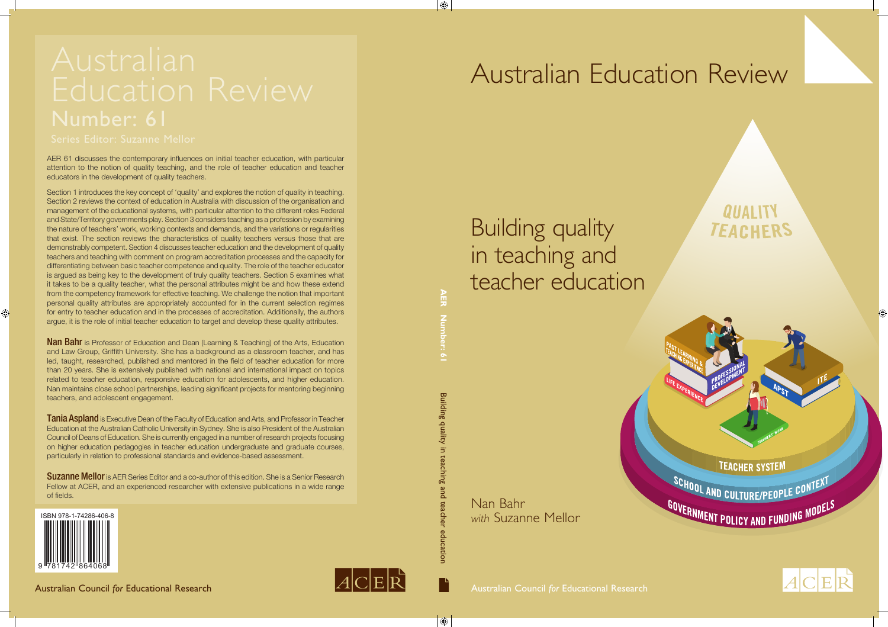Nan Bahr *with* Suzanne Mellor

Building quality in teaching and teacher education

Building quality in teaching and teacher education **AER Number: 61**

teaching

pue

teachel

education

 $\bigoplus$ 

Building quality in

**AER** 

 $\bigoplus$ 



## **QUALITY TEACHERS**

**TEACHER SYSTEM** 

SCHOOL AND CULTURE/PEOPLE CONTEXT GOVERNMENT POLICY AND FUNDING MODEL



# Australian Education Review



 $\bigoplus$ 

Australian Council *for* Educational Research Australian Council *for* Educational Research



AER 61 discusses the contemporary influences on initial teacher education, with particular attention to the notion of quality teaching, and the role of teacher education and teacher educators in the development of quality teachers.

**Nan Bahr** is Professor of Education and Dean (Learning & Teaching) of the Arts, Education and Law Group, Griffith University. She has a background as a classroom teacher, and has led, taught, researched, published and mentored in the field of teacher education for more than 20 years. She is extensively published with national and international impact on topics related to teacher education, responsive education for adolescents, and higher education. Nan maintains close school partnerships, leading significant projects for mentoring beginning teachers, and adolescent engagement.

Section 1 introduces the key concept of 'quality' and explores the notion of quality in teaching. Section 2 reviews the context of education in Australia with discussion of the organisation and management of the educational systems, with particular attention to the different roles Federal and State/Territory governments play. Section 3 considers teaching as a profession by examining the nature of teachers' work, working contexts and demands, and the variations or regularities that exist. The section reviews the characteristics of quality teachers versus those that are demonstrably competent. Section 4 discusses teacher education and the development of quality teachers and teaching with comment on program accreditation processes and the capacity for differentiating between basic teacher competence and quality. The role of the teacher educator is argued as being key to the development of truly quality teachers. Section 5 examines what it takes to be a quality teacher, what the personal attributes might be and how these extend from the competency framework for effective teaching. We challenge the notion that important personal quality attributes are appropriately accounted for in the current selection regimes for entry to teacher education and in the processes of accreditation. Additionally, the authors argue, it is the role of initial teacher education to target and develop these quality attributes.

**Tania Aspland** is Executive Dean of the Faculty of Education and Arts, and Professor in Teacher Education at the Australian Catholic University in Sydney. She is also President of the Australian Council of Deans of Education. She is currently engaged in a number of research projects focusing on higher education pedagogies in teacher education undergraduate and graduate courses, particularly in relation to professional standards and evidence-based assessment.

**Suzanne Mellor** is AER Series Editor and a co-author of this edition. She is a Senior Research Fellow at ACER, and an experienced researcher with extensive publications in a wide range of fields.